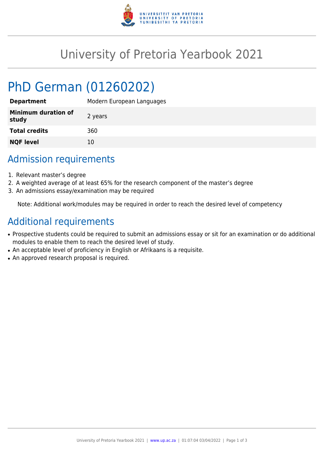

## University of Pretoria Yearbook 2021

# PhD German (01260202)

| <b>Department</b>                   | Modern European Languages |
|-------------------------------------|---------------------------|
| <b>Minimum duration of</b><br>study | 2 years                   |
| <b>Total credits</b>                | 360                       |
| <b>NQF level</b>                    | 10                        |

## Admission requirements

- 1. Relevant master's degree
- 2. A weighted average of at least 65% for the research component of the master's degree
- 3. An admissions essay/examination may be required

Note: Additional work/modules may be required in order to reach the desired level of competency

#### Additional requirements

- Prospective students could be required to submit an admissions essay or sit for an examination or do additional modules to enable them to reach the desired level of study.
- An acceptable level of proficiency in English or Afrikaans is a requisite.
- An approved research proposal is required.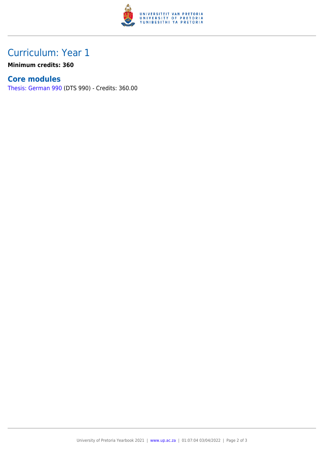

## Curriculum: Year 1

**Minimum credits: 360**

#### **Core modules**

[Thesis: German 990](https://www.up.ac.za/parents/yearbooks/2021/modules/view/DTS 990) (DTS 990) - Credits: 360.00